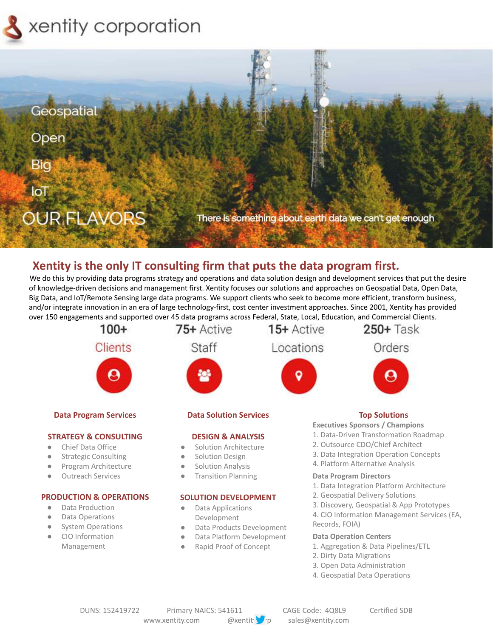



# **Xentity is the only IT consulting firm that puts the data program first.**

We do this by providing data programs strategy and operations and data solution design and development services that put the desire of knowledge-driven decisions and management first. Xentity focuses our solutions and approaches on Geospatial Data, Open Data, Big Data, and IoT/Remote Sensing large data programs. We support clients who seek to become more efficient, transform business, and/or integrate innovation in an era of large technology-first, cost center investment approaches. Since 2001, Xentity has provided over 150 engagements and supported over 45 data programs across Federal, State, Local, Education, and Commercial Clients.



Data Platform Development Rapid Proof of Concept

#### **Data Operation Centers**

- 1. Aggregation & Data Pipelines/ETL
- 2. Dirty Data Migrations
- 3. Open Data Administration
- 4. Geospatial Data Operations

**●** CIO Information Management